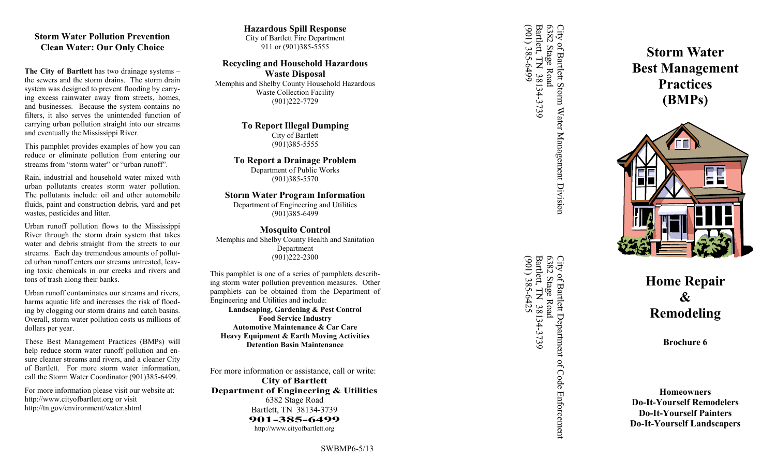## **Storm Water Pollution Prevention Clean Water: Our Only Choice**

**The City of Bartlett** has two drainage systems – the sewers and the storm drains. The storm drain system was designed to prevent flooding by carrying excess rainwater away from streets, homes, and businesses. Because the system contains no filters, it also serves the unintended function of carrying urban pollution straight into our streams and eventually the Mississippi River.

This pamphlet provides examples of how you can reduce or eliminate pollution from entering our streams from "storm water" or "urban runoff".

Rain, industrial and household water mixed with urban pollutants creates storm water pollution. The pollutants include: oil and other automobile fluids, paint and construction debris, yard and pet wastes, pesticides and litter.

Urban runoff pollution flows to the Mississippi River through the storm drain system that takes water and debris straight from the streets to our streams. Each day tremendous amounts of polluted urban runoff enters our streams untreated, leaving toxic chemicals in our creeks and rivers and tons of trash along their banks.

Urban runoff contaminates our streams and rivers, harms aquatic life and increases the risk of flooding by clogging our storm drains and catch basins. Overall, storm water pollution costs us millions of dollars per year.

These Best Management Practices (BMPs) will help reduce storm water runoff pollution and ensure cleaner streams and rivers, and a cleaner City of Bartlett. For more storm water information, call the Storm Water Coordinator (901)385 -6499.

For more information please visit our website at: http://www.cityofbartlett.org or visit http://tn.gov/environment/water.shtml

### **Hazardous Spill Response** City of Bartlett Fire Department

911 or (901)385 -5555

# **Recycling and Household Hazardous Waste Disposal**

Memphis and Shelby County Household Hazardous Waste Collection Facility (901)222 -7729

> **To Report Illegal Dumping** City of Bartlett (901)385 -5555

**To Report a Drainage Problem** Department of Public Works (901)385 -5570

## **Storm Water Program Information**

Department of Engineering and Utilities (901)385 -6499

### **Mosquito Control** Memphis and Shelby County Health and Sanitation Department (901)222 -2300

This pamphlet is one of a series of pamphlets describing storm water pollution prevention measures. Other pamphlets can be obtained from the Department of Engineering and Utilities and include: **Landscaping, Gardening & Pest Control**

**Food Service Industry Automotive Maintenance & Car Care Heavy Equipment & Earth Moving Activities Detention Basin Maintenance**

For more information or assistance, call or write: **City of Bartlett Department of Engineering & Utilities** 6382 Stage Road Bartlett, TN 38134 -3739 **901 -385 -6499** http://www.cityofbartlett.org

6382 Stage Road<br>Barlett, TN 38134-3739<br>(901) 385-6499 (901) 385-6499 Bartlett, TN 38134 City of Bartlett Storm Water Management Division<br>6382 Stage Road<br>Bartlett. TN 38134-3739 6382 Stage Road City of Bartlett Storm Water Management Division

6382 Stage Road<br>Bartlett, TN 38134-3739<br>(901) 385-6425 Bartlett, TN 38134 City of Bartlett Department of Code Enforcement<br>6382 Stage Road<br>Bartlett. TN 38134-3739 (901) 385-6425 6382 Stage Road City of Bartlett Department of Code Enforcement

**Storm Water Best Management Practices (BMPs)**



**Home Repair & Remodeling**

**Brochure 6**

**Homeowners Do -It -Yourself Remodelers Do -It -Yourself Painters Do -It -Yourself Landscapers**